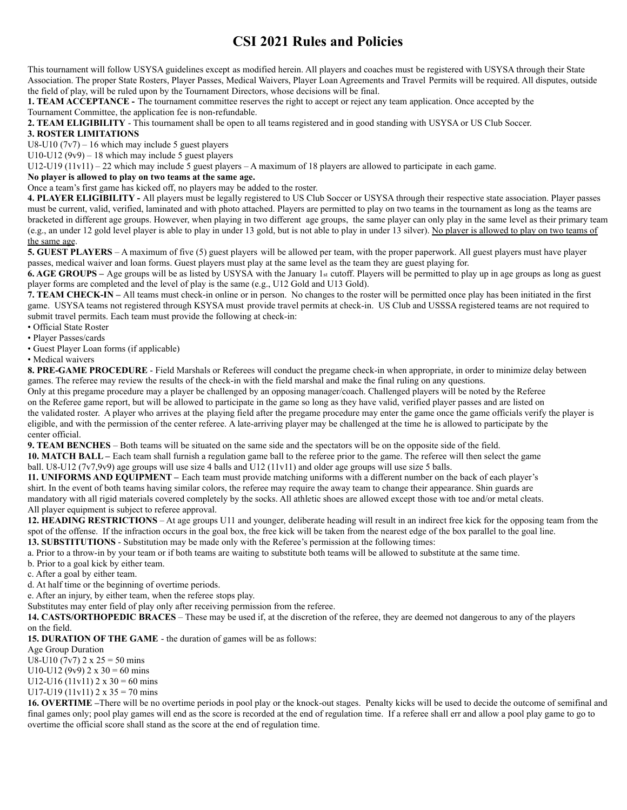# **CSI 2021 Rules and Policies**

This tournament will follow USYSA guidelines except as modified herein. All players and coaches must be registered with USYSA through their State Association. The proper State Rosters, Player Passes, Medical Waivers, Player Loan Agreements and Travel Permits will be required. All disputes, outside the field of play, will be ruled upon by the Tournament Directors, whose decisions will be final.

**1. TEAM ACCEPTANCE -** The tournament committee reserves the right to accept or reject any team application. Once accepted by the Tournament Committee, the application fee is non-refundable.

**2. TEAM ELIGIBILITY** - This tournament shall be open to all teams registered and in good standing with USYSA or US Club Soccer.

### **3. ROSTER LIMITATIONS**

U8-U10  $(7v7)$  – 16 which may include 5 guest players

U10-U12 (9v9) – 18 which may include 5 guest players

U12-U19 (11v11) – 22 which may include 5 guest players – A maximum of 18 players are allowed to participate in each game.

#### **No player is allowed to play on two teams at the same age.**

Once a team's first game has kicked off, no players may be added to the roster.

**4. PLAYER ELIGIBILITY -** All players must be legally registered to US Club Soccer or USYSA through their respective state association. Player passes must be current, valid, verified, laminated and with photo attached. Players are permitted to play on two teams in the tournament as long as the teams are bracketed in different age groups. However, when playing in two different age groups, the same player can only play in the same level as their primary team (e.g., an under 12 gold level player is able to play in under 13 gold, but is not able to play in under 13 silver). No player is allowed to play on two teams of the same age.

**5. GUEST PLAYERS** – A maximum of five (5) guest players will be allowed per team, with the proper paperwork. All guest players must have player passes, medical waiver and loan forms. Guest players must play at the same level as the team they are guest playing for.

**6. AGE GROUPS** – Age groups will be as listed by USYSA with the January 1st cutoff. Players will be permitted to play up in age groups as long as guest player forms are completed and the level of play is the same (e.g., U12 Gold and U13 Gold).

**7. TEAM CHECK-IN –** All teams must check-in online or in person. No changes to the roster will be permitted once play has been initiated in the first game. USYSA teams not registered through KSYSA must provide travel permits at check-in. US Club and USSSA registered teams are not required to submit travel permits. Each team must provide the following at check-in:

• Official State Roster

• Player Passes/cards

• Guest Player Loan forms (if applicable)

• Medical waivers

**8. PRE-GAME PROCEDURE** - Field Marshals or Referees will conduct the pregame check-in when appropriate, in order to minimize delay between games. The referee may review the results of the check-in with the field marshal and make the final ruling on any questions.

Only at this pregame procedure may a player be challenged by an opposing manager/coach. Challenged players will be noted by the Referee on the Referee game report, but will be allowed to participate in the game so long as they have valid, verified player passes and are listed on the validated roster. A player who arrives at the playing field after the pregame procedure may enter the game once the game officials verify the player is eligible, and with the permission of the center referee. A late-arriving player may be challenged at the time he is allowed to participate by the center official.

**9. TEAM BENCHES** – Both teams will be situated on the same side and the spectators will be on the opposite side of the field.

**10. MATCH BALL –** Each team shall furnish a regulation game ball to the referee prior to the game. The referee will then select the game

## ball. U8-U12 (7v7,9v9) age groups will use size 4 balls and U12 (11v11) and older age groups will use size 5 balls.

**11. UNIFORMS AND EQUIPMENT –** Each team must provide matching uniforms with a different number on the back of each player's shirt. In the event of both teams having similar colors, the referee may require the away team to change their appearance. Shin guards are mandatory with all rigid materials covered completely by the socks. All athletic shoes are allowed except those with toe and/or metal cleats. All player equipment is subject to referee approval.

**12. HEADING RESTRICTIONS** – At age groups U11 and younger, deliberate heading will result in an indirect free kick for the opposing team from the spot of the offense. If the infraction occurs in the goal box, the free kick will be taken from the nearest edge of the box parallel to the goal line.

**13. SUBSTITUTIONS** - Substitution may be made only with the Referee's permission at the following times:

a. Prior to a throw-in by your team or if both teams are waiting to substitute both teams will be allowed to substitute at the same time.

b. Prior to a goal kick by either team.

c. After a goal by either team.

d. At half time or the beginning of overtime periods.

e. After an injury, by either team, when the referee stops play.

Substitutes may enter field of play only after receiving permission from the referee.

**14. CASTS/ORTHOPEDIC BRACES** – These may be used if, at the discretion of the referee, they are deemed not dangerous to any of the players on the field.

**15. DURATION OF THE GAME** - the duration of games will be as follows:

Age Group Duration

U8-U10 (7v7)  $2 \times 25 = 50$  mins

U10-U12 (9v9)  $2 \times 30 = 60$  mins

U12-U16 (11v11)  $2 \times 30 = 60$  mins

U17-U19 (11v11)  $2 \times 35 = 70$  mins

**16. OVERTIME –**There will be no overtime periods in pool play or the knock-out stages. Penalty kicks will be used to decide the outcome of semifinal and final games only; pool play games will end as the score is recorded at the end of regulation time. If a referee shall err and allow a pool play game to go to overtime the official score shall stand as the score at the end of regulation time.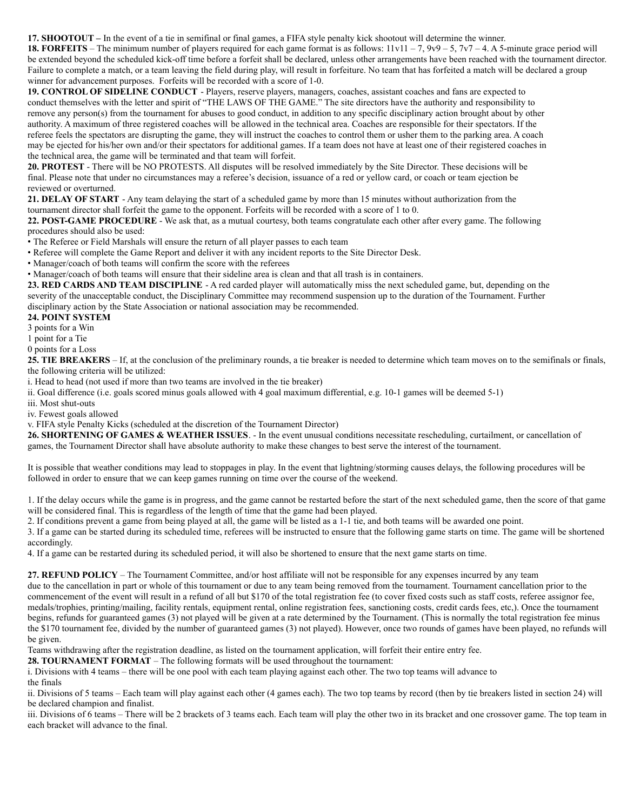**17. SHOOTOUT –** In the event of a tie in semifinal or final games, a FIFA style penalty kick shootout will determine the winner.

**18. FORFEITS** – The minimum number of players required for each game format is as follows:  $11v11 - 7$ ,  $9v9 - 5$ ,  $7v7 - 4$ . A 5-minute grace period will be extended beyond the scheduled kick-off time before a forfeit shall be declared, unless other arrangements have been reached with the tournament director. Failure to complete a match, or a team leaving the field during play, will result in forfeiture. No team that has forfeited a match will be declared a group winner for advancement purposes. Forfeits will be recorded with a score of 1-0.

**19. CONTROL OF SIDELINE CONDUCT** - Players, reserve players, managers, coaches, assistant coaches and fans are expected to conduct themselves with the letter and spirit of "THE LAWS OF THE GAME." The site directors have the authority and responsibility to remove any person(s) from the tournament for abuses to good conduct, in addition to any specific disciplinary action brought about by other authority. A maximum of three registered coaches will be allowed in the technical area. Coaches are responsible for their spectators. If the referee feels the spectators are disrupting the game, they will instruct the coaches to control them or usher them to the parking area. A coach may be ejected for his/her own and/or their spectators for additional games. If a team does not have at least one of their registered coaches in the technical area, the game will be terminated and that team will forfeit.

**20. PROTEST** - There will be NO PROTESTS. All disputes will be resolved immediately by the Site Director. These decisions will be final. Please note that under no circumstances may a referee's decision, issuance of a red or yellow card, or coach or team ejection be reviewed or overturned.

**21. DELAY OF START** - Any team delaying the start of a scheduled game by more than 15 minutes without authorization from the tournament director shall forfeit the game to the opponent. Forfeits will be recorded with a score of 1 to 0.

**22. POST-GAME PROCEDURE** - We ask that, as a mutual courtesy, both teams congratulate each other after every game. The following procedures should also be used:

• The Referee or Field Marshals will ensure the return of all player passes to each team

- Referee will complete the Game Report and deliver it with any incident reports to the Site Director Desk.
- Manager/coach of both teams will confirm the score with the referees

• Manager/coach of both teams will ensure that their sideline area is clean and that all trash is in containers.

**23. RED CARDS AND TEAM DISCIPLINE** - A red carded player will automatically miss the next scheduled game, but, depending on the severity of the unacceptable conduct, the Disciplinary Committee may recommend suspension up to the duration of the Tournament. Further disciplinary action by the State Association or national association may be recommended.

#### **24. POINT SYSTEM**

3 points for a Win

1 point for a Tie

0 points for a Loss

**25. TIE BREAKERS** – If, at the conclusion of the preliminary rounds, a tie breaker is needed to determine which team moves on to the semifinals or finals, the following criteria will be utilized:

i. Head to head (not used if more than two teams are involved in the tie breaker)

ii. Goal difference (i.e. goals scored minus goals allowed with 4 goal maximum differential, e.g. 10-1 games will be deemed 5-1)

iii. Most shut-outs

iv. Fewest goals allowed

v. FIFA style Penalty Kicks (scheduled at the discretion of the Tournament Director)

**26. SHORTENING OF GAMES & WEATHER ISSUES**. - In the event unusual conditions necessitate rescheduling, curtailment, or cancellation of games, the Tournament Director shall have absolute authority to make these changes to best serve the interest of the tournament.

It is possible that weather conditions may lead to stoppages in play. In the event that lightning/storming causes delays, the following procedures will be followed in order to ensure that we can keep games running on time over the course of the weekend.

1. If the delay occurs while the game is in progress, and the game cannot be restarted before the start of the next scheduled game, then the score of that game will be considered final. This is regardless of the length of time that the game had been played.

2. If conditions prevent a game from being played at all, the game will be listed as a 1-1 tie, and both teams will be awarded one point.

3. If a game can be started during its scheduled time, referees will be instructed to ensure that the following game starts on time. The game will be shortened accordingly.

4. If a game can be restarted during its scheduled period, it will also be shortened to ensure that the next game starts on time.

**27. REFUND POLICY** – The Tournament Committee, and/or host affiliate will not be responsible for any expenses incurred by any team due to the cancellation in part or whole of this tournament or due to any team being removed from the tournament. Tournament cancellation prior to the commencement of the event will result in a refund of all but \$170 of the total registration fee (to cover fixed costs such as staff costs, referee assignor fee, medals/trophies, printing/mailing, facility rentals, equipment rental, online registration fees, sanctioning costs, credit cards fees, etc,). Once the tournament begins, refunds for guaranteed games (3) not played will be given at a rate determined by the Tournament. (This is normally the total registration fee minus the \$170 tournament fee, divided by the number of guaranteed games (3) not played). However, once two rounds of games have been played, no refunds will be given.

Teams withdrawing after the registration deadline, as listed on the tournament application, will forfeit their entire entry fee.

**28. TOURNAMENT FORMAT** – The following formats will be used throughout the tournament:

i. Divisions with 4 teams – there will be one pool with each team playing against each other. The two top teams will advance to

the finals

ii. Divisions of 5 teams – Each team will play against each other (4 games each). The two top teams by record (then by tie breakers listed in section 24) will be declared champion and finalist.

iii. Divisions of 6 teams – There will be 2 brackets of 3 teams each. Each team will play the other two in its bracket and one crossover game. The top team in each bracket will advance to the final.